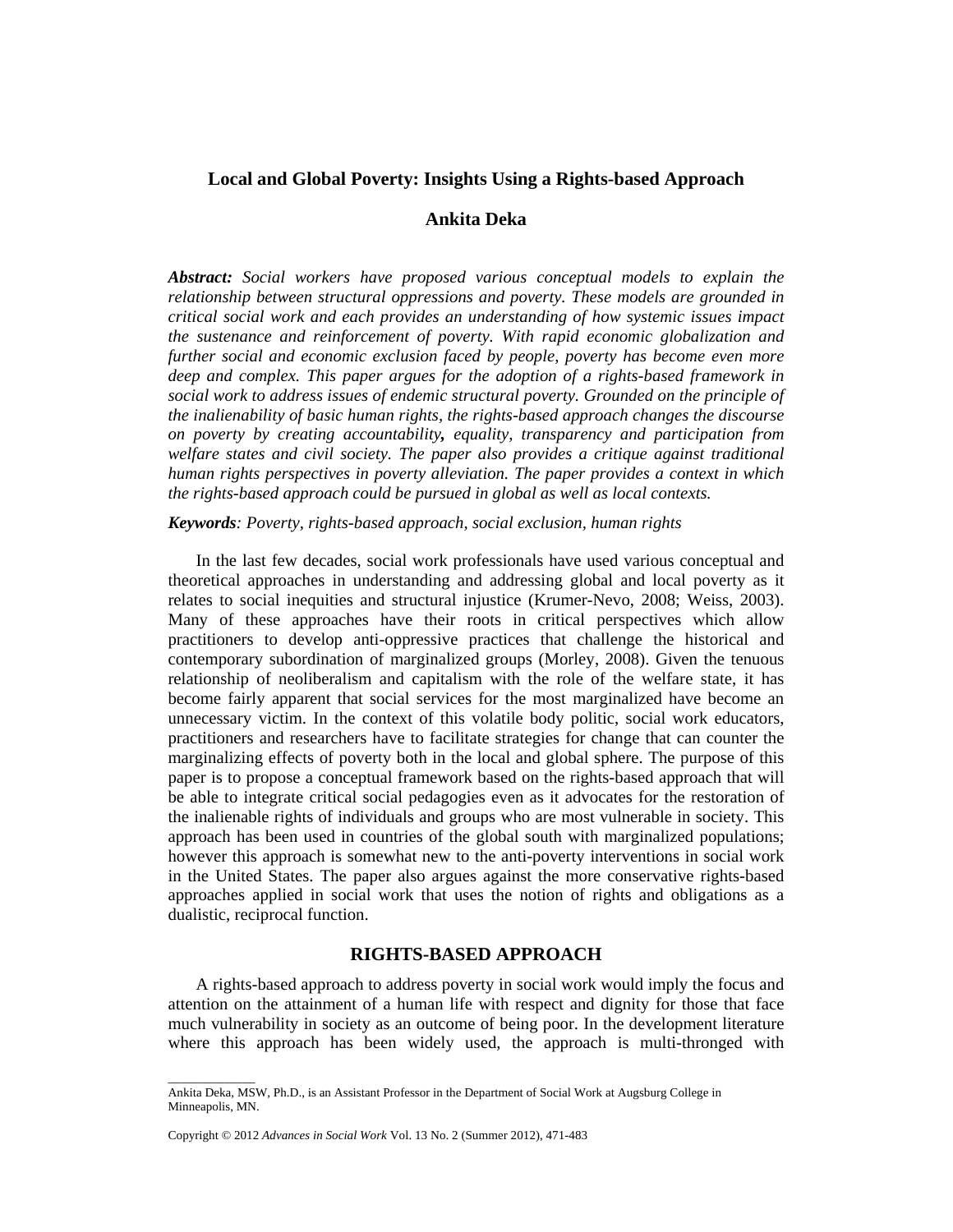# **Local and Global Poverty: Insights Using a Rights-based Approach**

### **Ankita Deka**

*Abstract: Social workers have proposed various conceptual models to explain the relationship between structural oppressions and poverty. These models are grounded in critical social work and each provides an understanding of how systemic issues impact the sustenance and reinforcement of poverty. With rapid economic globalization and further social and economic exclusion faced by people, poverty has become even more deep and complex. This paper argues for the adoption of a rights-based framework in social work to address issues of endemic structural poverty. Grounded on the principle of the inalienability of basic human rights, the rights-based approach changes the discourse on poverty by creating accountability, equality, transparency and participation from welfare states and civil society. The paper also provides a critique against traditional human rights perspectives in poverty alleviation. The paper provides a context in which the rights-based approach could be pursued in global as well as local contexts.*

*Keywords: Poverty, rights-based approach, social exclusion, human rights* 

In the last few decades, social work professionals have used various conceptual and theoretical approaches in understanding and addressing global and local poverty as it relates to social inequities and structural injustice (Krumer-Nevo, 2008; Weiss, 2003). Many of these approaches have their roots in critical perspectives which allow practitioners to develop anti-oppressive practices that challenge the historical and contemporary subordination of marginalized groups (Morley, 2008). Given the tenuous relationship of neoliberalism and capitalism with the role of the welfare state, it has become fairly apparent that social services for the most marginalized have become an unnecessary victim. In the context of this volatile body politic, social work educators, practitioners and researchers have to facilitate strategies for change that can counter the marginalizing effects of poverty both in the local and global sphere. The purpose of this paper is to propose a conceptual framework based on the rights-based approach that will be able to integrate critical social pedagogies even as it advocates for the restoration of the inalienable rights of individuals and groups who are most vulnerable in society. This approach has been used in countries of the global south with marginalized populations; however this approach is somewhat new to the anti-poverty interventions in social work in the United States. The paper also argues against the more conservative rights-based approaches applied in social work that uses the notion of rights and obligations as a dualistic, reciprocal function.

# **RIGHTS-BASED APPROACH**

A rights-based approach to address poverty in social work would imply the focus and attention on the attainment of a human life with respect and dignity for those that face much vulnerability in society as an outcome of being poor. In the development literature where this approach has been widely used, the approach is multi-thronged with

Copyright © 2012 *Advances in Social Work* Vol. 13 No. 2 (Summer 2012), 471-483

\_\_\_\_\_\_\_\_\_\_\_\_\_\_

Ankita Deka, MSW, Ph.D., is an Assistant Professor in the Department of Social Work at Augsburg College in Minneapolis, MN.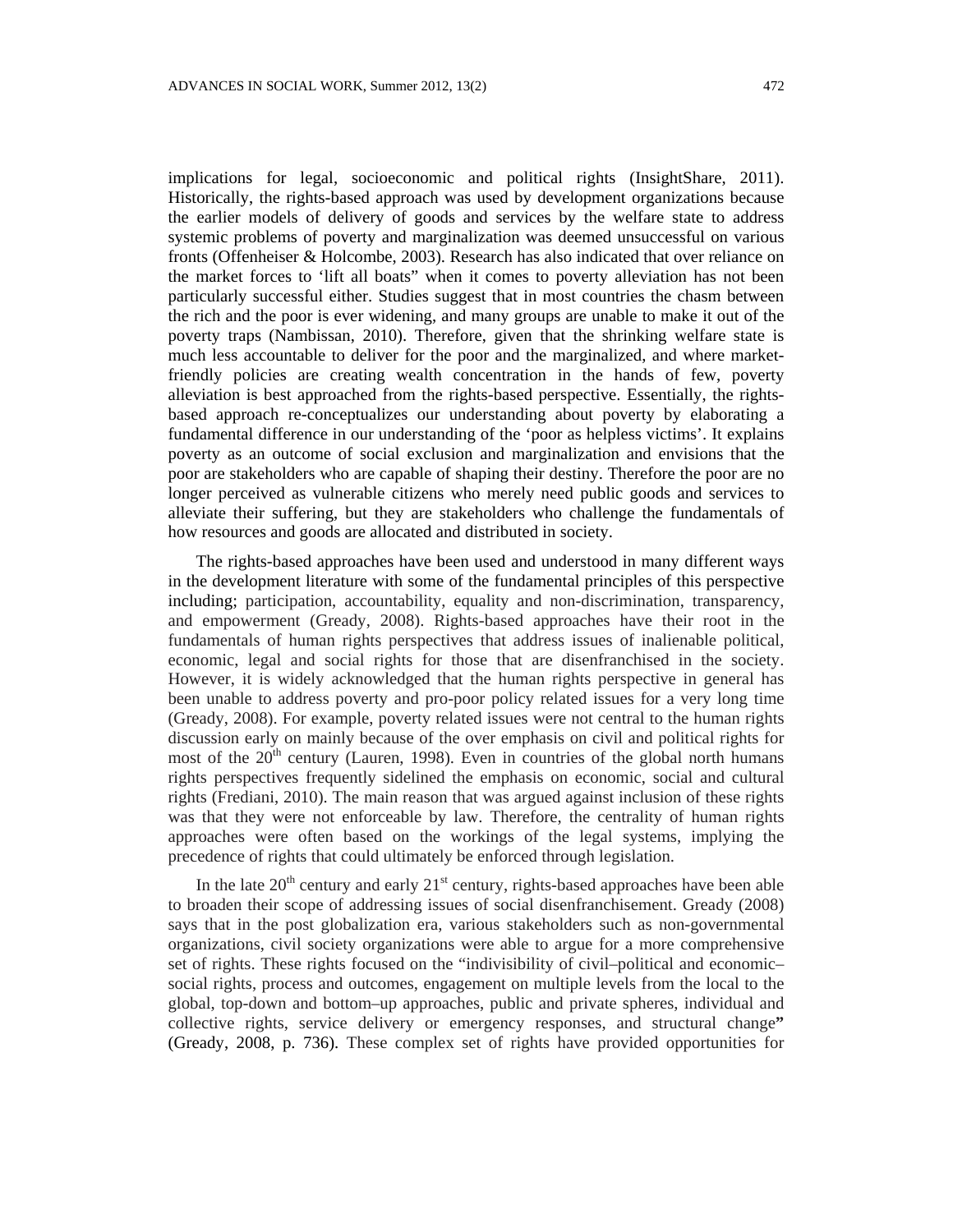implications for legal, socioeconomic and political rights (InsightShare, 2011). Historically, the rights-based approach was used by development organizations because the earlier models of delivery of goods and services by the welfare state to address systemic problems of poverty and marginalization was deemed unsuccessful on various fronts (Offenheiser & Holcombe, 2003). Research has also indicated that over reliance on the market forces to 'lift all boats" when it comes to poverty alleviation has not been particularly successful either. Studies suggest that in most countries the chasm between the rich and the poor is ever widening, and many groups are unable to make it out of the poverty traps (Nambissan, 2010). Therefore, given that the shrinking welfare state is much less accountable to deliver for the poor and the marginalized, and where marketfriendly policies are creating wealth concentration in the hands of few, poverty alleviation is best approached from the rights-based perspective. Essentially, the rightsbased approach re-conceptualizes our understanding about poverty by elaborating a fundamental difference in our understanding of the 'poor as helpless victims'. It explains poverty as an outcome of social exclusion and marginalization and envisions that the poor are stakeholders who are capable of shaping their destiny. Therefore the poor are no longer perceived as vulnerable citizens who merely need public goods and services to alleviate their suffering, but they are stakeholders who challenge the fundamentals of how resources and goods are allocated and distributed in society.

The rights-based approaches have been used and understood in many different ways in the development literature with some of the fundamental principles of this perspective including; participation, accountability, equality and non-discrimination, transparency, and empowerment (Gready, 2008). Rights-based approaches have their root in the fundamentals of human rights perspectives that address issues of inalienable political, economic, legal and social rights for those that are disenfranchised in the society. However, it is widely acknowledged that the human rights perspective in general has been unable to address poverty and pro-poor policy related issues for a very long time (Gready, 2008). For example, poverty related issues were not central to the human rights discussion early on mainly because of the over emphasis on civil and political rights for most of the  $20<sup>th</sup>$  century (Lauren, 1998). Even in countries of the global north humans rights perspectives frequently sidelined the emphasis on economic, social and cultural rights (Frediani, 2010). The main reason that was argued against inclusion of these rights was that they were not enforceable by law. Therefore, the centrality of human rights approaches were often based on the workings of the legal systems, implying the precedence of rights that could ultimately be enforced through legislation.

In the late  $20<sup>th</sup>$  century and early  $21<sup>st</sup>$  century, rights-based approaches have been able to broaden their scope of addressing issues of social disenfranchisement. Gready (2008) says that in the post globalization era, various stakeholders such as non-governmental organizations, civil society organizations were able to argue for a more comprehensive set of rights. These rights focused on the "indivisibility of civil–political and economic– social rights, process and outcomes, engagement on multiple levels from the local to the global, top-down and bottom–up approaches, public and private spheres, individual and collective rights, service delivery or emergency responses, and structural change**"**  (Gready, 2008, p. 736). These complex set of rights have provided opportunities for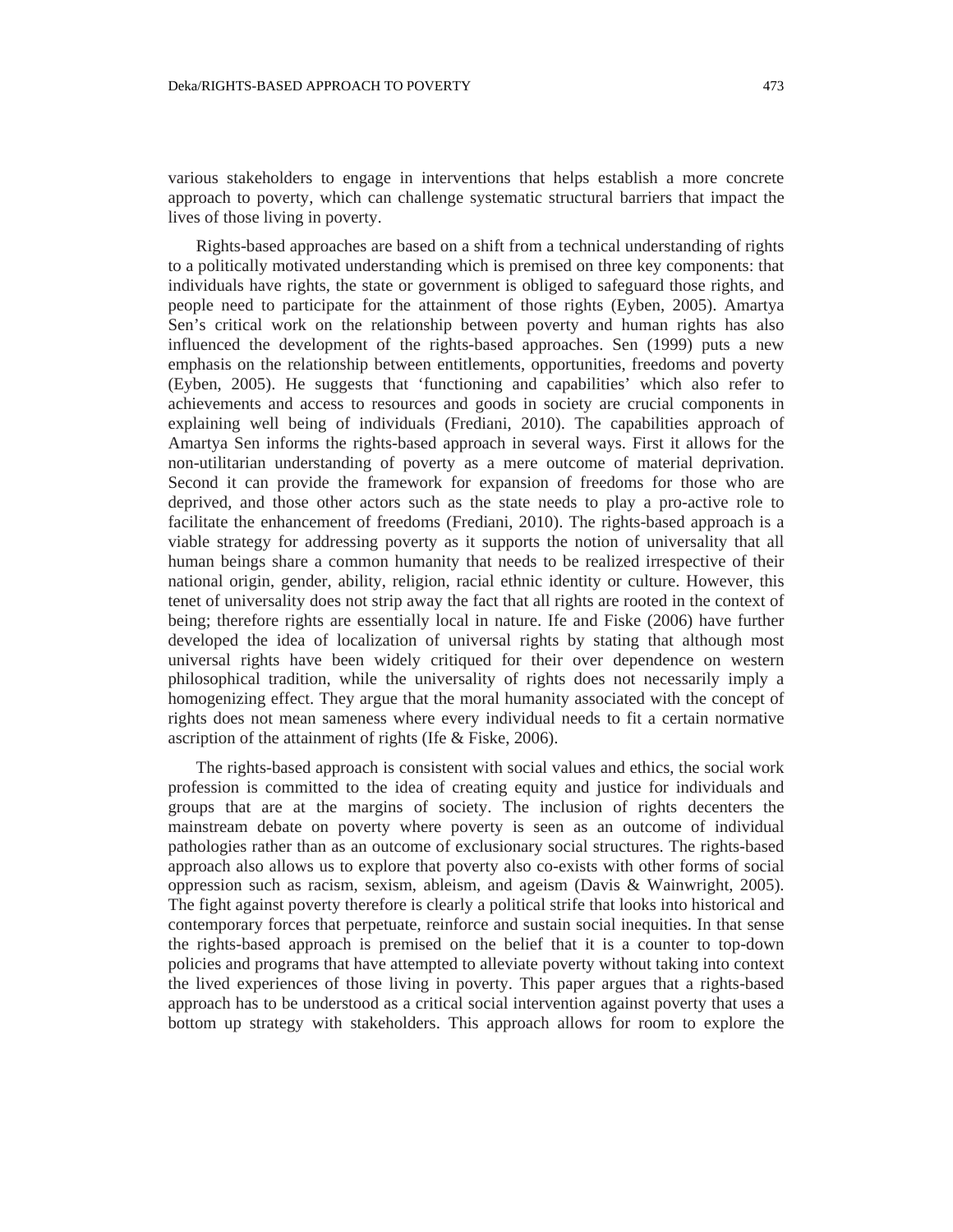various stakeholders to engage in interventions that helps establish a more concrete approach to poverty, which can challenge systematic structural barriers that impact the lives of those living in poverty.

Rights-based approaches are based on a shift from a technical understanding of rights to a politically motivated understanding which is premised on three key components: that individuals have rights, the state or government is obliged to safeguard those rights, and people need to participate for the attainment of those rights (Eyben, 2005). Amartya Sen's critical work on the relationship between poverty and human rights has also influenced the development of the rights-based approaches. Sen (1999) puts a new emphasis on the relationship between entitlements, opportunities, freedoms and poverty (Eyben, 2005). He suggests that 'functioning and capabilities' which also refer to achievements and access to resources and goods in society are crucial components in explaining well being of individuals (Frediani, 2010). The capabilities approach of Amartya Sen informs the rights-based approach in several ways. First it allows for the non-utilitarian understanding of poverty as a mere outcome of material deprivation. Second it can provide the framework for expansion of freedoms for those who are deprived, and those other actors such as the state needs to play a pro-active role to facilitate the enhancement of freedoms (Frediani, 2010). The rights-based approach is a viable strategy for addressing poverty as it supports the notion of universality that all human beings share a common humanity that needs to be realized irrespective of their national origin, gender, ability, religion, racial ethnic identity or culture. However, this tenet of universality does not strip away the fact that all rights are rooted in the context of being; therefore rights are essentially local in nature. Ife and Fiske (2006) have further developed the idea of localization of universal rights by stating that although most universal rights have been widely critiqued for their over dependence on western philosophical tradition, while the universality of rights does not necessarily imply a homogenizing effect. They argue that the moral humanity associated with the concept of rights does not mean sameness where every individual needs to fit a certain normative ascription of the attainment of rights (Ife & Fiske, 2006).

The rights-based approach is consistent with social values and ethics, the social work profession is committed to the idea of creating equity and justice for individuals and groups that are at the margins of society. The inclusion of rights decenters the mainstream debate on poverty where poverty is seen as an outcome of individual pathologies rather than as an outcome of exclusionary social structures. The rights-based approach also allows us to explore that poverty also co-exists with other forms of social oppression such as racism, sexism, ableism, and ageism (Davis & Wainwright, 2005). The fight against poverty therefore is clearly a political strife that looks into historical and contemporary forces that perpetuate, reinforce and sustain social inequities. In that sense the rights-based approach is premised on the belief that it is a counter to top-down policies and programs that have attempted to alleviate poverty without taking into context the lived experiences of those living in poverty. This paper argues that a rights-based approach has to be understood as a critical social intervention against poverty that uses a bottom up strategy with stakeholders. This approach allows for room to explore the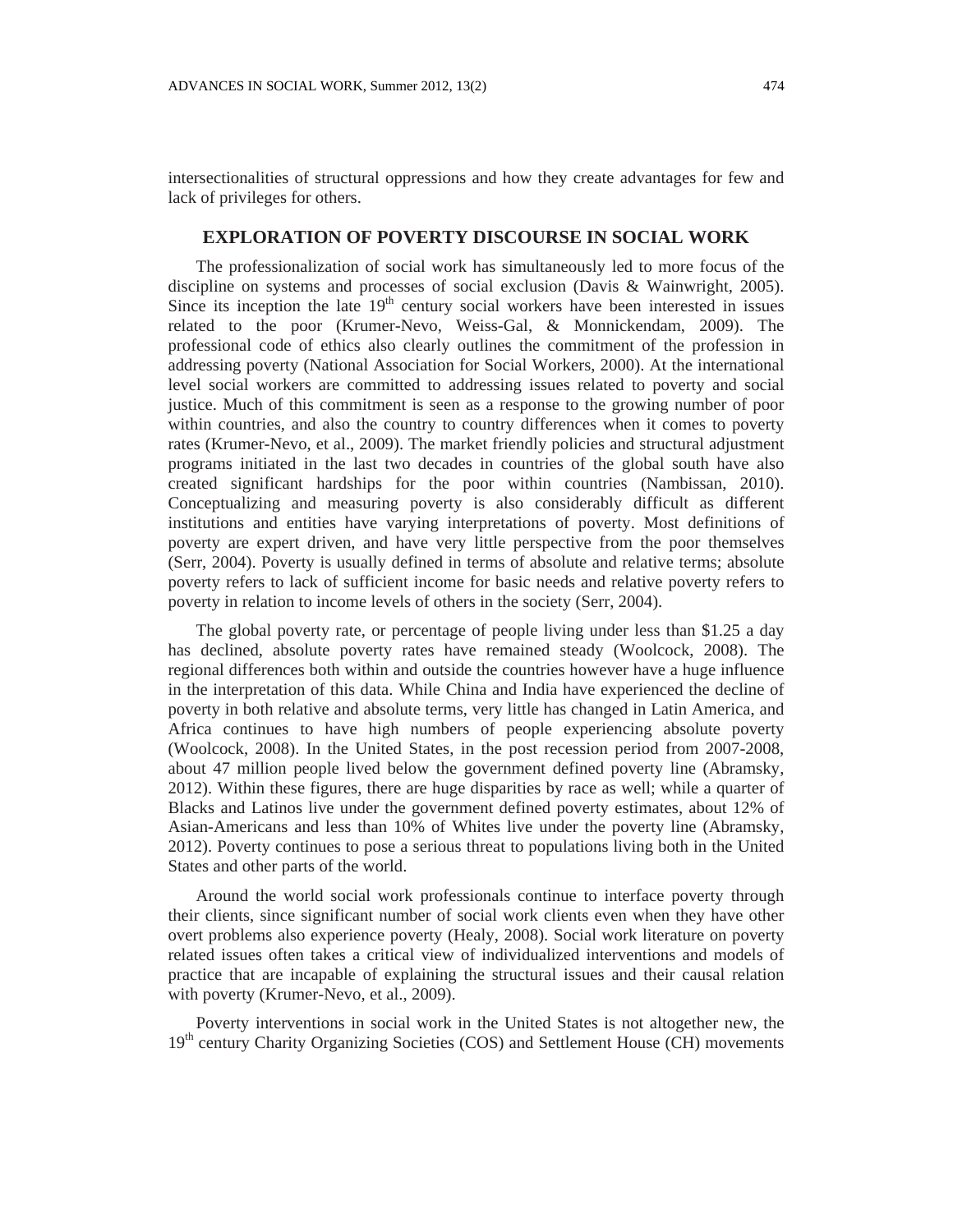intersectionalities of structural oppressions and how they create advantages for few and lack of privileges for others.

### **EXPLORATION OF POVERTY DISCOURSE IN SOCIAL WORK**

The professionalization of social work has simultaneously led to more focus of the discipline on systems and processes of social exclusion (Davis & Wainwright, 2005). Since its inception the late  $19<sup>th</sup>$  century social workers have been interested in issues related to the poor (Krumer-Nevo, Weiss-Gal, & Monnickendam, 2009). The professional code of ethics also clearly outlines the commitment of the profession in addressing poverty (National Association for Social Workers, 2000). At the international level social workers are committed to addressing issues related to poverty and social justice. Much of this commitment is seen as a response to the growing number of poor within countries, and also the country to country differences when it comes to poverty rates (Krumer-Nevo, et al., 2009). The market friendly policies and structural adjustment programs initiated in the last two decades in countries of the global south have also created significant hardships for the poor within countries (Nambissan, 2010). Conceptualizing and measuring poverty is also considerably difficult as different institutions and entities have varying interpretations of poverty. Most definitions of poverty are expert driven, and have very little perspective from the poor themselves (Serr, 2004). Poverty is usually defined in terms of absolute and relative terms; absolute poverty refers to lack of sufficient income for basic needs and relative poverty refers to poverty in relation to income levels of others in the society (Serr, 2004).

The global poverty rate, or percentage of people living under less than \$1.25 a day has declined, absolute poverty rates have remained steady (Woolcock, 2008). The regional differences both within and outside the countries however have a huge influence in the interpretation of this data. While China and India have experienced the decline of poverty in both relative and absolute terms, very little has changed in Latin America, and Africa continues to have high numbers of people experiencing absolute poverty (Woolcock, 2008). In the United States, in the post recession period from 2007-2008, about 47 million people lived below the government defined poverty line (Abramsky, 2012). Within these figures, there are huge disparities by race as well; while a quarter of Blacks and Latinos live under the government defined poverty estimates, about 12% of Asian-Americans and less than 10% of Whites live under the poverty line (Abramsky, 2012). Poverty continues to pose a serious threat to populations living both in the United States and other parts of the world.

Around the world social work professionals continue to interface poverty through their clients, since significant number of social work clients even when they have other overt problems also experience poverty (Healy, 2008). Social work literature on poverty related issues often takes a critical view of individualized interventions and models of practice that are incapable of explaining the structural issues and their causal relation with poverty (Krumer-Nevo, et al., 2009).

Poverty interventions in social work in the United States is not altogether new, the 19<sup>th</sup> century Charity Organizing Societies (COS) and Settlement House (CH) movements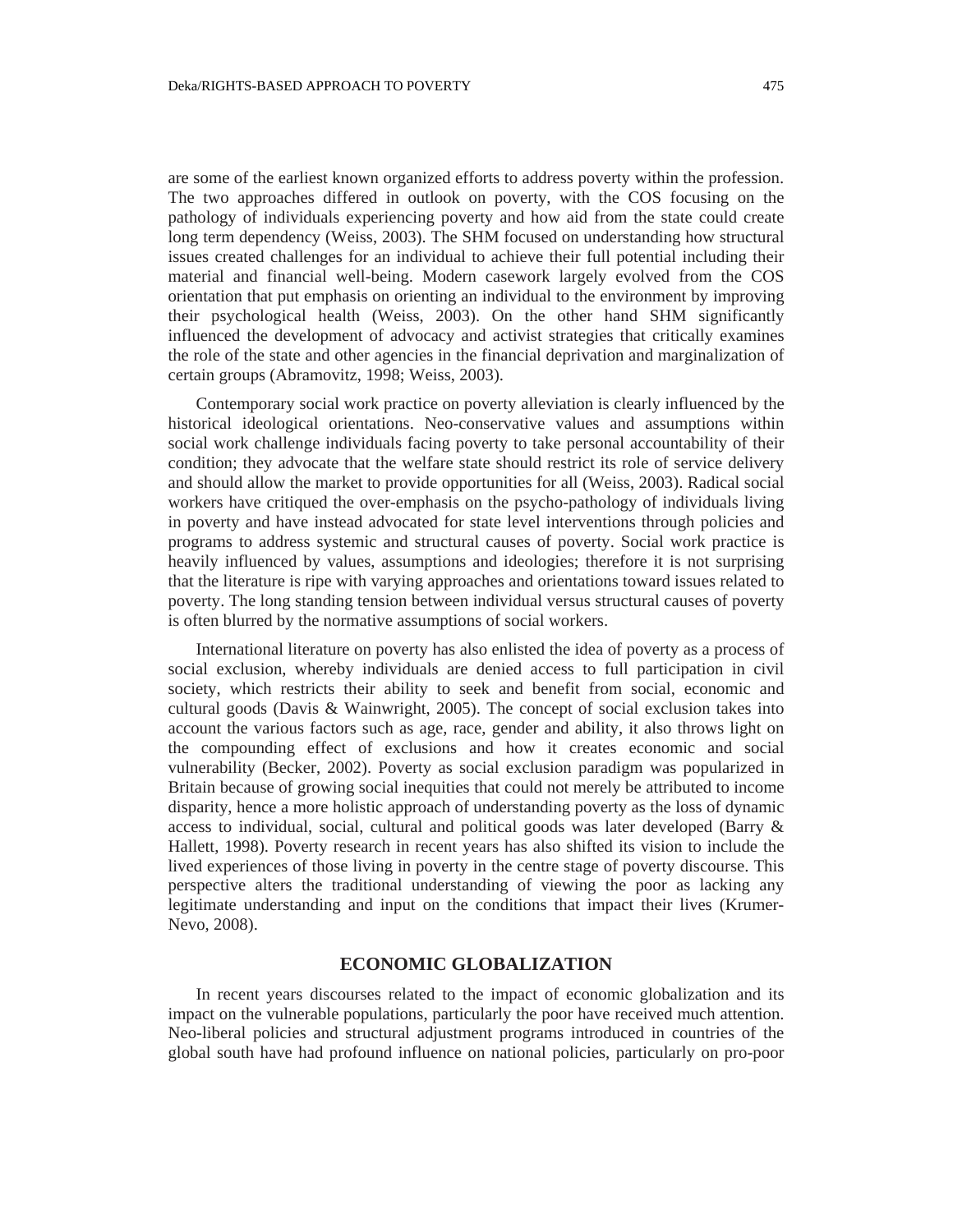are some of the earliest known organized efforts to address poverty within the profession. The two approaches differed in outlook on poverty, with the COS focusing on the pathology of individuals experiencing poverty and how aid from the state could create long term dependency (Weiss, 2003). The SHM focused on understanding how structural issues created challenges for an individual to achieve their full potential including their material and financial well-being. Modern casework largely evolved from the COS orientation that put emphasis on orienting an individual to the environment by improving their psychological health (Weiss, 2003). On the other hand SHM significantly influenced the development of advocacy and activist strategies that critically examines the role of the state and other agencies in the financial deprivation and marginalization of certain groups (Abramovitz, 1998; Weiss, 2003).

Contemporary social work practice on poverty alleviation is clearly influenced by the historical ideological orientations. Neo-conservative values and assumptions within social work challenge individuals facing poverty to take personal accountability of their condition; they advocate that the welfare state should restrict its role of service delivery and should allow the market to provide opportunities for all (Weiss, 2003). Radical social workers have critiqued the over-emphasis on the psycho-pathology of individuals living in poverty and have instead advocated for state level interventions through policies and programs to address systemic and structural causes of poverty. Social work practice is heavily influenced by values, assumptions and ideologies; therefore it is not surprising that the literature is ripe with varying approaches and orientations toward issues related to poverty. The long standing tension between individual versus structural causes of poverty is often blurred by the normative assumptions of social workers.

International literature on poverty has also enlisted the idea of poverty as a process of social exclusion, whereby individuals are denied access to full participation in civil society, which restricts their ability to seek and benefit from social, economic and cultural goods (Davis & Wainwright, 2005). The concept of social exclusion takes into account the various factors such as age, race, gender and ability, it also throws light on the compounding effect of exclusions and how it creates economic and social vulnerability (Becker, 2002). Poverty as social exclusion paradigm was popularized in Britain because of growing social inequities that could not merely be attributed to income disparity, hence a more holistic approach of understanding poverty as the loss of dynamic access to individual, social, cultural and political goods was later developed (Barry & Hallett, 1998). Poverty research in recent years has also shifted its vision to include the lived experiences of those living in poverty in the centre stage of poverty discourse. This perspective alters the traditional understanding of viewing the poor as lacking any legitimate understanding and input on the conditions that impact their lives (Krumer-Nevo, 2008).

#### **ECONOMIC GLOBALIZATION**

In recent years discourses related to the impact of economic globalization and its impact on the vulnerable populations, particularly the poor have received much attention. Neo-liberal policies and structural adjustment programs introduced in countries of the global south have had profound influence on national policies, particularly on pro-poor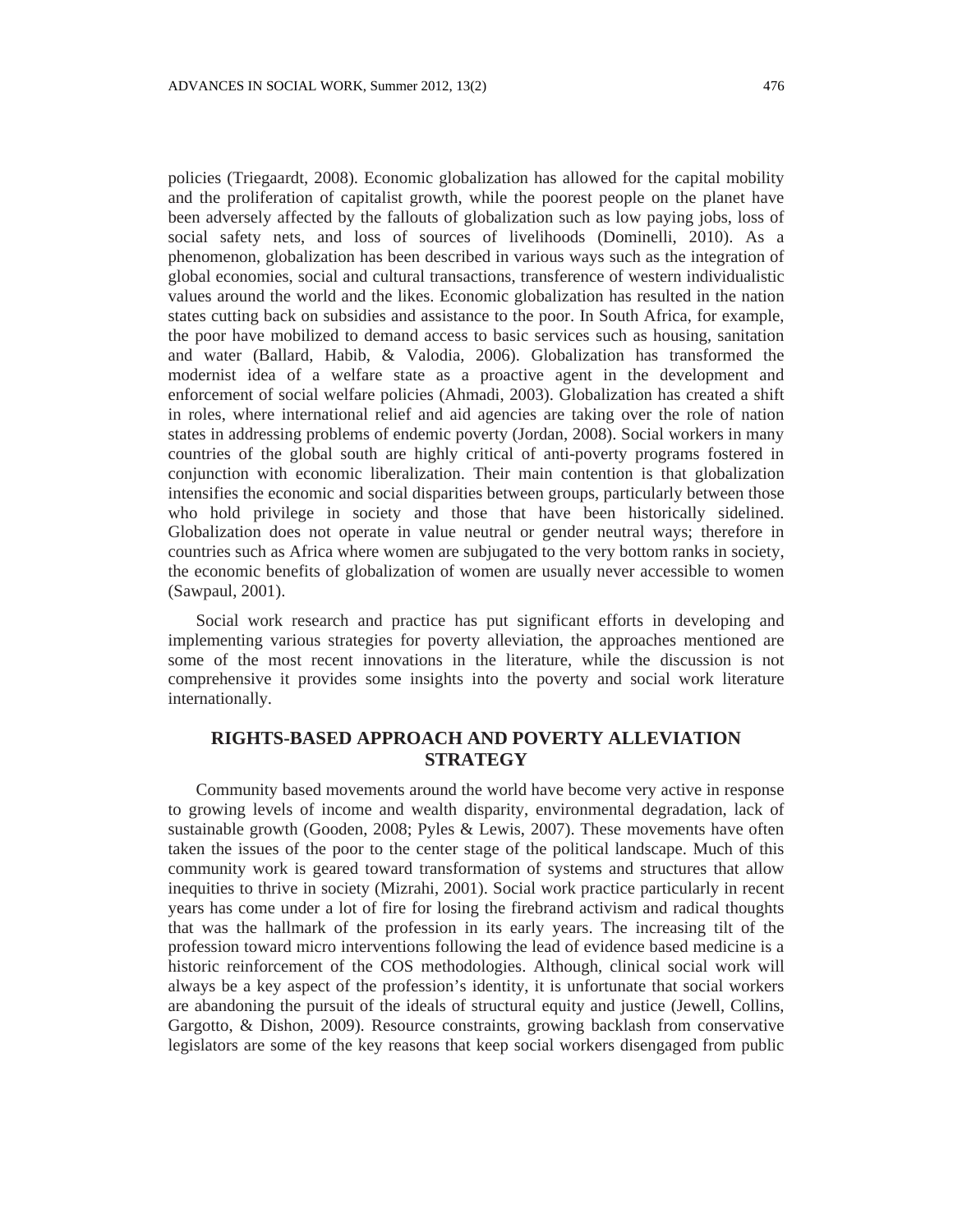policies (Triegaardt, 2008). Economic globalization has allowed for the capital mobility and the proliferation of capitalist growth, while the poorest people on the planet have been adversely affected by the fallouts of globalization such as low paying jobs, loss of social safety nets, and loss of sources of livelihoods (Dominelli, 2010). As a phenomenon, globalization has been described in various ways such as the integration of global economies, social and cultural transactions, transference of western individualistic values around the world and the likes. Economic globalization has resulted in the nation states cutting back on subsidies and assistance to the poor. In South Africa, for example, the poor have mobilized to demand access to basic services such as housing, sanitation and water (Ballard, Habib, & Valodia, 2006). Globalization has transformed the modernist idea of a welfare state as a proactive agent in the development and enforcement of social welfare policies (Ahmadi, 2003). Globalization has created a shift in roles, where international relief and aid agencies are taking over the role of nation states in addressing problems of endemic poverty (Jordan, 2008). Social workers in many countries of the global south are highly critical of anti-poverty programs fostered in conjunction with economic liberalization. Their main contention is that globalization intensifies the economic and social disparities between groups, particularly between those who hold privilege in society and those that have been historically sidelined. Globalization does not operate in value neutral or gender neutral ways; therefore in countries such as Africa where women are subjugated to the very bottom ranks in society, the economic benefits of globalization of women are usually never accessible to women (Sawpaul, 2001).

Social work research and practice has put significant efforts in developing and implementing various strategies for poverty alleviation, the approaches mentioned are some of the most recent innovations in the literature, while the discussion is not comprehensive it provides some insights into the poverty and social work literature internationally.

# **RIGHTS-BASED APPROACH AND POVERTY ALLEVIATION STRATEGY**

Community based movements around the world have become very active in response to growing levels of income and wealth disparity, environmental degradation, lack of sustainable growth (Gooden, 2008; Pyles & Lewis, 2007). These movements have often taken the issues of the poor to the center stage of the political landscape. Much of this community work is geared toward transformation of systems and structures that allow inequities to thrive in society (Mizrahi, 2001). Social work practice particularly in recent years has come under a lot of fire for losing the firebrand activism and radical thoughts that was the hallmark of the profession in its early years. The increasing tilt of the profession toward micro interventions following the lead of evidence based medicine is a historic reinforcement of the COS methodologies. Although, clinical social work will always be a key aspect of the profession's identity, it is unfortunate that social workers are abandoning the pursuit of the ideals of structural equity and justice (Jewell, Collins, Gargotto, & Dishon, 2009). Resource constraints, growing backlash from conservative legislators are some of the key reasons that keep social workers disengaged from public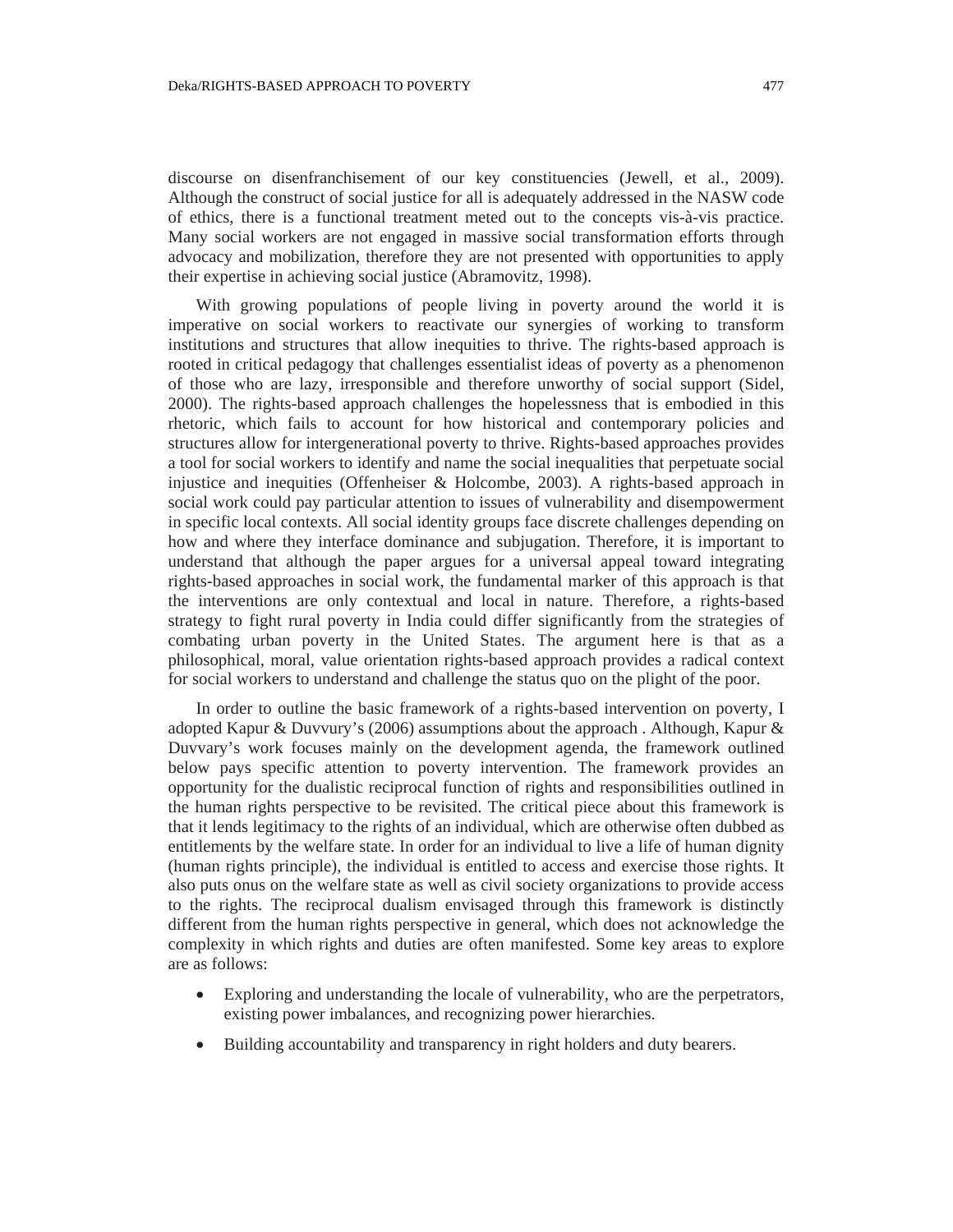discourse on disenfranchisement of our key constituencies (Jewell, et al., 2009). Although the construct of social justice for all is adequately addressed in the NASW code of ethics, there is a functional treatment meted out to the concepts vis-à-vis practice. Many social workers are not engaged in massive social transformation efforts through advocacy and mobilization, therefore they are not presented with opportunities to apply their expertise in achieving social justice (Abramovitz, 1998).

With growing populations of people living in poverty around the world it is imperative on social workers to reactivate our synergies of working to transform institutions and structures that allow inequities to thrive. The rights-based approach is rooted in critical pedagogy that challenges essentialist ideas of poverty as a phenomenon of those who are lazy, irresponsible and therefore unworthy of social support (Sidel, 2000). The rights-based approach challenges the hopelessness that is embodied in this rhetoric, which fails to account for how historical and contemporary policies and structures allow for intergenerational poverty to thrive. Rights-based approaches provides a tool for social workers to identify and name the social inequalities that perpetuate social injustice and inequities (Offenheiser & Holcombe, 2003). A rights-based approach in social work could pay particular attention to issues of vulnerability and disempowerment in specific local contexts. All social identity groups face discrete challenges depending on how and where they interface dominance and subjugation. Therefore, it is important to understand that although the paper argues for a universal appeal toward integrating rights-based approaches in social work, the fundamental marker of this approach is that the interventions are only contextual and local in nature. Therefore, a rights-based strategy to fight rural poverty in India could differ significantly from the strategies of combating urban poverty in the United States. The argument here is that as a philosophical, moral, value orientation rights-based approach provides a radical context for social workers to understand and challenge the status quo on the plight of the poor.

In order to outline the basic framework of a rights-based intervention on poverty, I adopted Kapur & Duvvury's (2006) assumptions about the approach . Although, Kapur & Duvvary's work focuses mainly on the development agenda, the framework outlined below pays specific attention to poverty intervention. The framework provides an opportunity for the dualistic reciprocal function of rights and responsibilities outlined in the human rights perspective to be revisited. The critical piece about this framework is that it lends legitimacy to the rights of an individual, which are otherwise often dubbed as entitlements by the welfare state. In order for an individual to live a life of human dignity (human rights principle), the individual is entitled to access and exercise those rights. It also puts onus on the welfare state as well as civil society organizations to provide access to the rights. The reciprocal dualism envisaged through this framework is distinctly different from the human rights perspective in general, which does not acknowledge the complexity in which rights and duties are often manifested. Some key areas to explore are as follows:

- Exploring and understanding the locale of vulnerability, who are the perpetrators, existing power imbalances, and recognizing power hierarchies.
- Building accountability and transparency in right holders and duty bearers.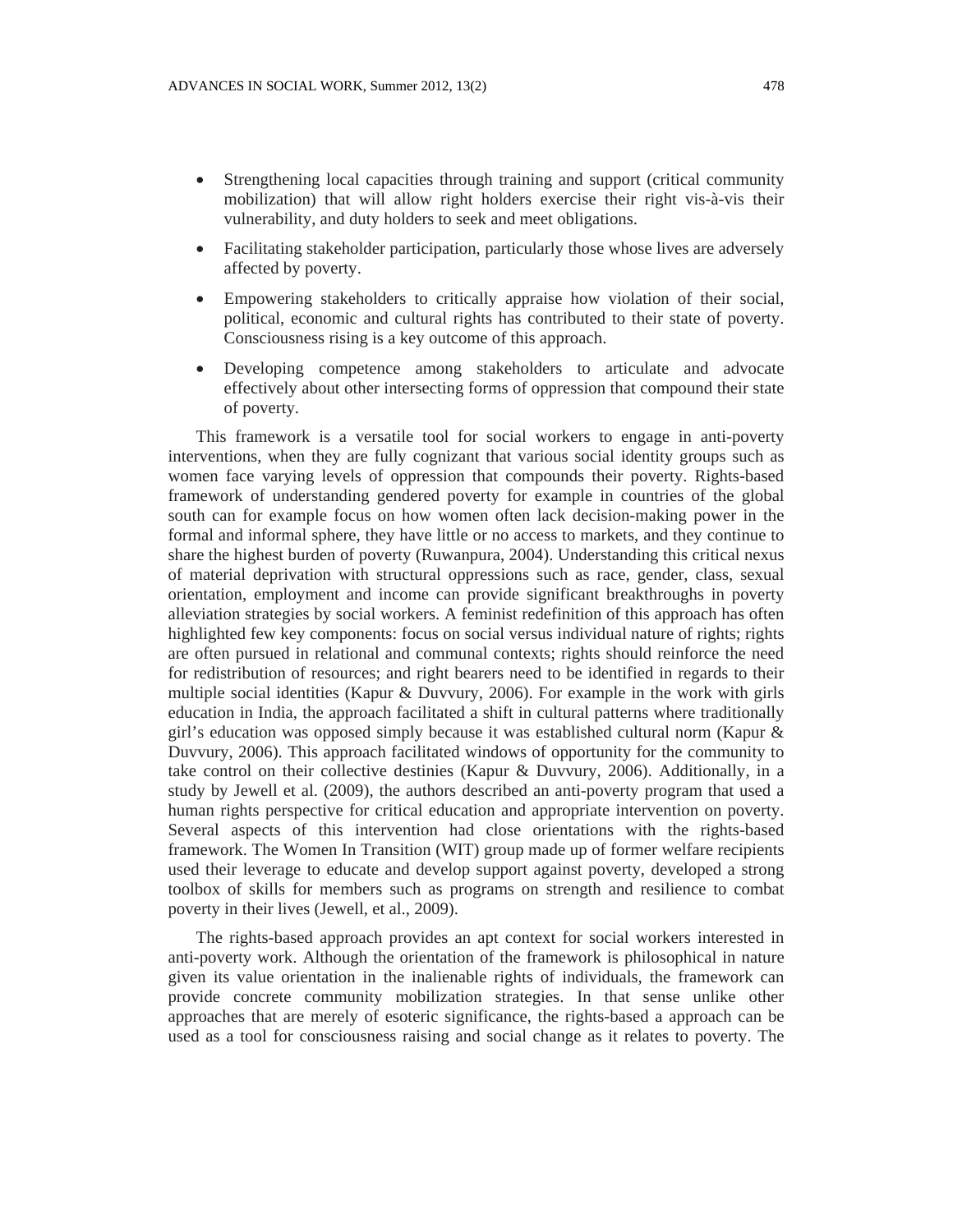- Strengthening local capacities through training and support (critical community mobilization) that will allow right holders exercise their right vis-à-vis their vulnerability, and duty holders to seek and meet obligations.
- Facilitating stakeholder participation, particularly those whose lives are adversely affected by poverty.
- Empowering stakeholders to critically appraise how violation of their social, political, economic and cultural rights has contributed to their state of poverty. Consciousness rising is a key outcome of this approach.
- Developing competence among stakeholders to articulate and advocate effectively about other intersecting forms of oppression that compound their state of poverty.

This framework is a versatile tool for social workers to engage in anti-poverty interventions, when they are fully cognizant that various social identity groups such as women face varying levels of oppression that compounds their poverty. Rights-based framework of understanding gendered poverty for example in countries of the global south can for example focus on how women often lack decision-making power in the formal and informal sphere, they have little or no access to markets, and they continue to share the highest burden of poverty (Ruwanpura, 2004). Understanding this critical nexus of material deprivation with structural oppressions such as race, gender, class, sexual orientation, employment and income can provide significant breakthroughs in poverty alleviation strategies by social workers. A feminist redefinition of this approach has often highlighted few key components: focus on social versus individual nature of rights; rights are often pursued in relational and communal contexts; rights should reinforce the need for redistribution of resources; and right bearers need to be identified in regards to their multiple social identities (Kapur & Duvvury, 2006). For example in the work with girls education in India, the approach facilitated a shift in cultural patterns where traditionally girl's education was opposed simply because it was established cultural norm (Kapur  $\&$ Duvvury, 2006). This approach facilitated windows of opportunity for the community to take control on their collective destinies (Kapur & Duvvury, 2006). Additionally, in a study by Jewell et al. (2009), the authors described an anti-poverty program that used a human rights perspective for critical education and appropriate intervention on poverty. Several aspects of this intervention had close orientations with the rights-based framework. The Women In Transition (WIT) group made up of former welfare recipients used their leverage to educate and develop support against poverty, developed a strong toolbox of skills for members such as programs on strength and resilience to combat poverty in their lives (Jewell, et al., 2009).

The rights-based approach provides an apt context for social workers interested in anti-poverty work. Although the orientation of the framework is philosophical in nature given its value orientation in the inalienable rights of individuals, the framework can provide concrete community mobilization strategies. In that sense unlike other approaches that are merely of esoteric significance, the rights-based a approach can be used as a tool for consciousness raising and social change as it relates to poverty. The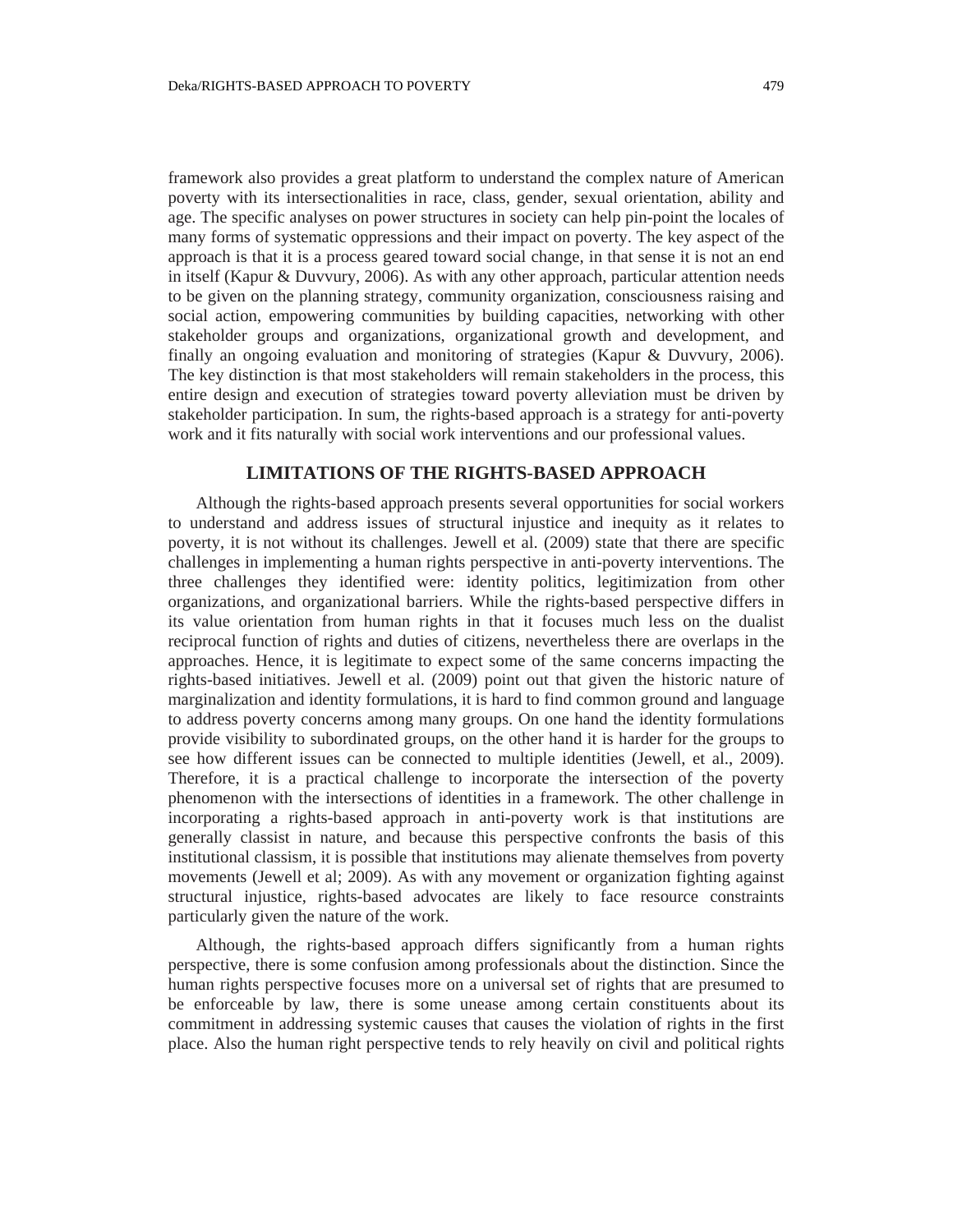framework also provides a great platform to understand the complex nature of American poverty with its intersectionalities in race, class, gender, sexual orientation, ability and age. The specific analyses on power structures in society can help pin-point the locales of many forms of systematic oppressions and their impact on poverty. The key aspect of the approach is that it is a process geared toward social change, in that sense it is not an end in itself (Kapur & Duvvury, 2006). As with any other approach, particular attention needs to be given on the planning strategy, community organization, consciousness raising and social action, empowering communities by building capacities, networking with other stakeholder groups and organizations, organizational growth and development, and finally an ongoing evaluation and monitoring of strategies (Kapur & Duvvury, 2006). The key distinction is that most stakeholders will remain stakeholders in the process, this entire design and execution of strategies toward poverty alleviation must be driven by stakeholder participation. In sum, the rights-based approach is a strategy for anti-poverty work and it fits naturally with social work interventions and our professional values.

### **LIMITATIONS OF THE RIGHTS-BASED APPROACH**

Although the rights-based approach presents several opportunities for social workers to understand and address issues of structural injustice and inequity as it relates to poverty, it is not without its challenges. Jewell et al. (2009) state that there are specific challenges in implementing a human rights perspective in anti-poverty interventions. The three challenges they identified were: identity politics, legitimization from other organizations, and organizational barriers. While the rights-based perspective differs in its value orientation from human rights in that it focuses much less on the dualist reciprocal function of rights and duties of citizens, nevertheless there are overlaps in the approaches. Hence, it is legitimate to expect some of the same concerns impacting the rights-based initiatives. Jewell et al. (2009) point out that given the historic nature of marginalization and identity formulations, it is hard to find common ground and language to address poverty concerns among many groups. On one hand the identity formulations provide visibility to subordinated groups, on the other hand it is harder for the groups to see how different issues can be connected to multiple identities (Jewell, et al., 2009). Therefore, it is a practical challenge to incorporate the intersection of the poverty phenomenon with the intersections of identities in a framework. The other challenge in incorporating a rights-based approach in anti-poverty work is that institutions are generally classist in nature, and because this perspective confronts the basis of this institutional classism, it is possible that institutions may alienate themselves from poverty movements (Jewell et al; 2009). As with any movement or organization fighting against structural injustice, rights-based advocates are likely to face resource constraints particularly given the nature of the work.

Although, the rights-based approach differs significantly from a human rights perspective, there is some confusion among professionals about the distinction. Since the human rights perspective focuses more on a universal set of rights that are presumed to be enforceable by law, there is some unease among certain constituents about its commitment in addressing systemic causes that causes the violation of rights in the first place. Also the human right perspective tends to rely heavily on civil and political rights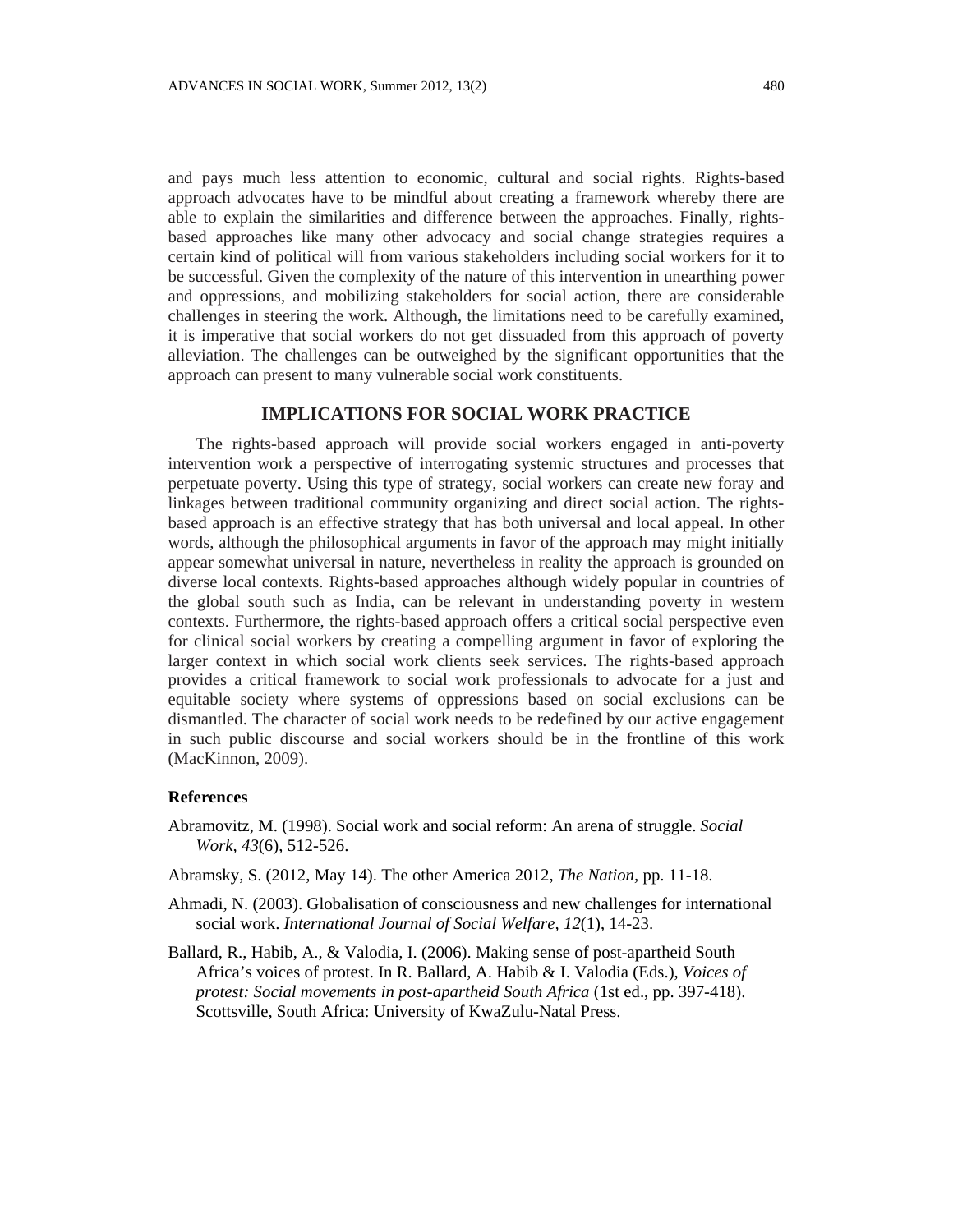and pays much less attention to economic, cultural and social rights. Rights-based approach advocates have to be mindful about creating a framework whereby there are able to explain the similarities and difference between the approaches. Finally, rightsbased approaches like many other advocacy and social change strategies requires a certain kind of political will from various stakeholders including social workers for it to be successful. Given the complexity of the nature of this intervention in unearthing power and oppressions, and mobilizing stakeholders for social action, there are considerable challenges in steering the work. Although, the limitations need to be carefully examined, it is imperative that social workers do not get dissuaded from this approach of poverty alleviation. The challenges can be outweighed by the significant opportunities that the approach can present to many vulnerable social work constituents.

### **IMPLICATIONS FOR SOCIAL WORK PRACTICE**

The rights-based approach will provide social workers engaged in anti-poverty intervention work a perspective of interrogating systemic structures and processes that perpetuate poverty. Using this type of strategy, social workers can create new foray and linkages between traditional community organizing and direct social action. The rightsbased approach is an effective strategy that has both universal and local appeal. In other words, although the philosophical arguments in favor of the approach may might initially appear somewhat universal in nature, nevertheless in reality the approach is grounded on diverse local contexts. Rights-based approaches although widely popular in countries of the global south such as India, can be relevant in understanding poverty in western contexts. Furthermore, the rights-based approach offers a critical social perspective even for clinical social workers by creating a compelling argument in favor of exploring the larger context in which social work clients seek services. The rights-based approach provides a critical framework to social work professionals to advocate for a just and equitable society where systems of oppressions based on social exclusions can be dismantled. The character of social work needs to be redefined by our active engagement in such public discourse and social workers should be in the frontline of this work (MacKinnon, 2009).

### **References**

- Abramovitz, M. (1998). Social work and social reform: An arena of struggle. *Social Work, 43*(6), 512-526.
- Abramsky, S. (2012, May 14). The other America 2012, *The Nation,* pp. 11-18.
- Ahmadi, N. (2003). Globalisation of consciousness and new challenges for international social work. *International Journal of Social Welfare, 12*(1), 14-23.
- Ballard, R., Habib, A., & Valodia, I. (2006). Making sense of post-apartheid South Africa's voices of protest. In R. Ballard, A. Habib & I. Valodia (Eds.), *Voices of protest: Social movements in post-apartheid South Africa* (1st ed., pp. 397-418). Scottsville, South Africa: University of KwaZulu-Natal Press.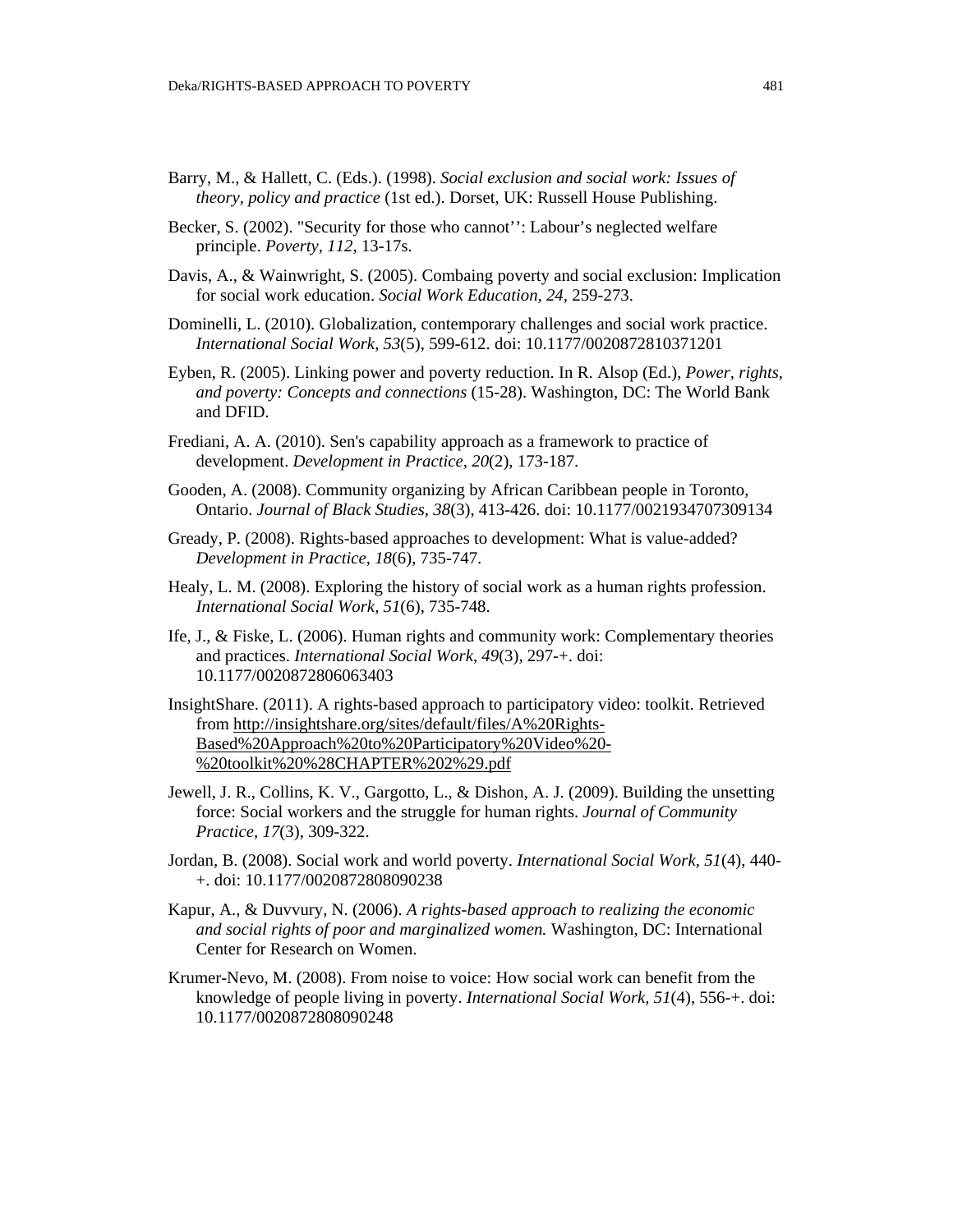- Barry, M., & Hallett, C. (Eds.). (1998). *Social exclusion and social work: Issues of theory, policy and practice* (1st ed.). Dorset, UK: Russell House Publishing.
- Becker, S. (2002). "Security for those who cannot'': Labour's neglected welfare principle. *Poverty, 112*, 13-17s.
- Davis, A., & Wainwright, S. (2005). Combaing poverty and social exclusion: Implication for social work education. *Social Work Education, 24,* 259-273.
- Dominelli, L. (2010). Globalization, contemporary challenges and social work practice. *International Social Work, 53*(5), 599-612. doi: 10.1177/0020872810371201
- Eyben, R. (2005). Linking power and poverty reduction. In R. Alsop (Ed.), *Power, rights, and poverty: Concepts and connections* (15-28). Washington, DC: The World Bank and DFID.
- Frediani, A. A. (2010). Sen's capability approach as a framework to practice of development. *Development in Practice, 20*(2), 173-187.
- Gooden, A. (2008). Community organizing by African Caribbean people in Toronto, Ontario. *Journal of Black Studies, 38*(3), 413-426. doi: 10.1177/0021934707309134
- Gready, P. (2008). Rights-based approaches to development: What is value-added? *Development in Practice, 18*(6), 735-747.
- Healy, L. M. (2008). Exploring the history of social work as a human rights profession. *International Social Work, 51*(6), 735-748.
- Ife, J., & Fiske, L. (2006). Human rights and community work: Complementary theories and practices. *International Social Work, 49*(3), 297-+. doi: 10.1177/0020872806063403
- InsightShare. (2011). A rights-based approach to participatory video: toolkit. Retrieved from http://insightshare.org/sites/default/files/A%20Rights-Based%20Approach%20to%20Participatory%20Video%20- %20toolkit%20%28CHAPTER%202%29.pdf
- Jewell, J. R., Collins, K. V., Gargotto, L., & Dishon, A. J. (2009). Building the unsetting force: Social workers and the struggle for human rights. *Journal of Community Practice, 17*(3), 309-322.
- Jordan, B. (2008). Social work and world poverty. *International Social Work, 51*(4), 440- +. doi: 10.1177/0020872808090238
- Kapur, A., & Duvvury, N. (2006). *A rights-based approach to realizing the economic and social rights of poor and marginalized women.* Washington, DC: International Center for Research on Women.
- Krumer-Nevo, M. (2008). From noise to voice: How social work can benefit from the knowledge of people living in poverty. *International Social Work, 51*(4), 556-+. doi: 10.1177/0020872808090248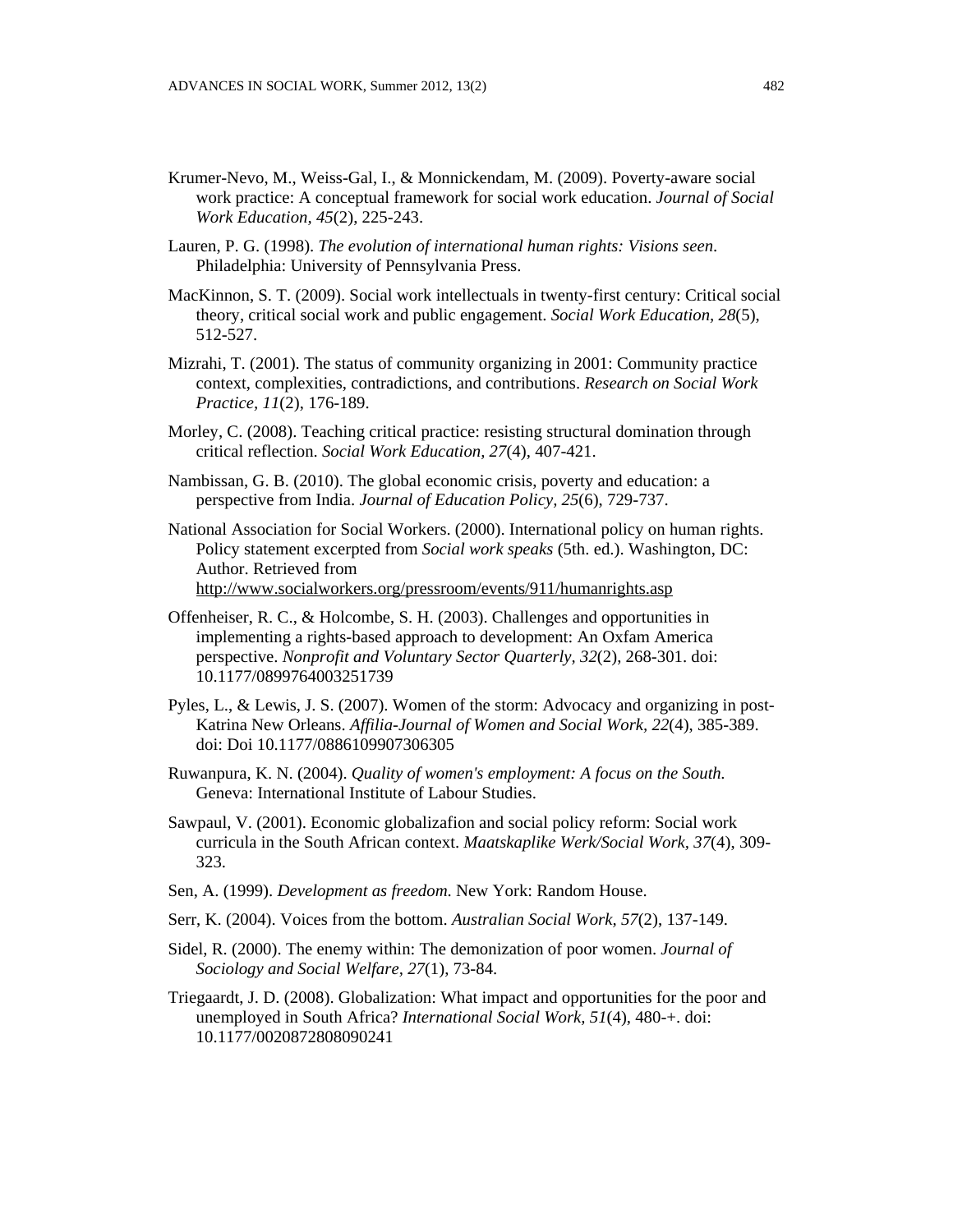- Krumer-Nevo, M., Weiss-Gal, I., & Monnickendam, M. (2009). Poverty-aware social work practice: A conceptual framework for social work education. *Journal of Social Work Education, 45*(2), 225-243.
- Lauren, P. G. (1998). *The evolution of international human rights: Visions seen*. Philadelphia: University of Pennsylvania Press.
- MacKinnon, S. T. (2009). Social work intellectuals in twenty-first century: Critical social theory, critical social work and public engagement. *Social Work Education, 28*(5), 512-527.
- Mizrahi, T. (2001). The status of community organizing in 2001: Community practice context, complexities, contradictions, and contributions. *Research on Social Work Practice, 11*(2), 176-189.
- Morley, C. (2008). Teaching critical practice: resisting structural domination through critical reflection. *Social Work Education, 27*(4), 407-421.
- Nambissan, G. B. (2010). The global economic crisis, poverty and education: a perspective from India. *Journal of Education Policy, 25*(6), 729-737.
- National Association for Social Workers. (2000). International policy on human rights. Policy statement excerpted from *Social work speaks* (5th. ed.). Washington, DC: Author. Retrieved from http://www.socialworkers.org/pressroom/events/911/humanrights.asp
- Offenheiser, R. C., & Holcombe, S. H. (2003). Challenges and opportunities in implementing a rights-based approach to development: An Oxfam America perspective. *Nonprofit and Voluntary Sector Quarterly, 32*(2), 268-301. doi: 10.1177/0899764003251739
- Pyles, L., & Lewis, J. S. (2007). Women of the storm: Advocacy and organizing in post-Katrina New Orleans. *Affilia-Journal of Women and Social Work, 22*(4), 385-389. doi: Doi 10.1177/0886109907306305
- Ruwanpura, K. N. (2004). *Quality of women's employment: A focus on the South.*  Geneva: International Institute of Labour Studies.
- Sawpaul, V. (2001). Economic globalizafion and social policy reform: Social work curricula in the South African context. *Maatskaplike Werk/Social Work, 37*(4), 309- 323.
- Sen, A. (1999). *Development as freedom*. New York: Random House.
- Serr, K. (2004). Voices from the bottom. *Australian Social Work, 57*(2), 137-149.
- Sidel, R. (2000). The enemy within: The demonization of poor women. *Journal of Sociology and Social Welfare, 27*(1), 73-84.
- Triegaardt, J. D. (2008). Globalization: What impact and opportunities for the poor and unemployed in South Africa? *International Social Work, 51*(4), 480-+. doi: 10.1177/0020872808090241